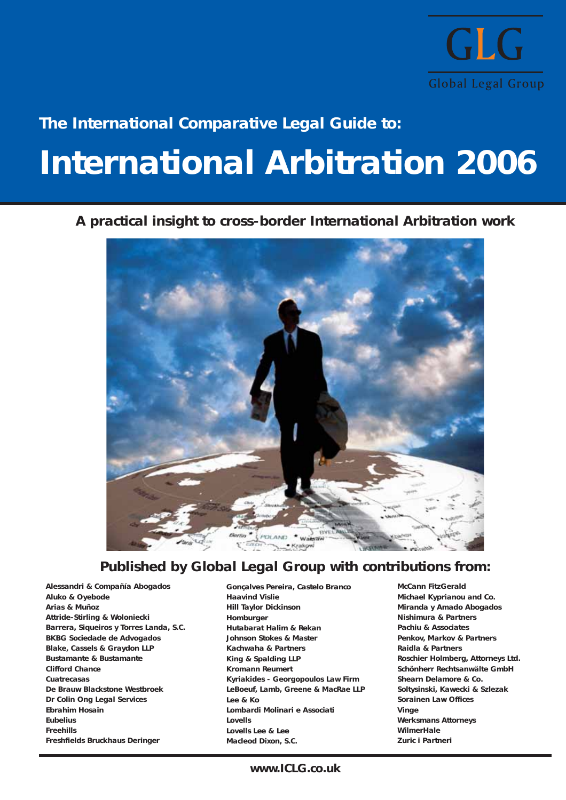

## **The International Comparative Legal Guide to:**

## **International Arbitration 2006**

## **A practical insight to cross-border International Arbitration work**



## **Published by Global Legal Group with contributions from:**

**Alessandri & Compañía Abogados Aluko & Oyebode Arias & Muñoz Attride-Stirling & Woloniecki Barrera, Siqueiros y Torres Landa, S.C. BKBG Sociedade de Advogados Blake, Cassels & Graydon LLP Bustamante & Bustamante Clifford Chance Cuatrecasas De Brauw Blackstone Westbroek Dr Colin Ong Legal Services Ebrahim Hosain Eubelius Freehills Freshfields Bruckhaus Deringer**

**Gonçalves Pereira, Castelo Branco Haavind Vislie Hill Taylor Dickinson Homburger Hutabarat Halim & Rekan Johnson Stokes & Master Kachwaha & Partners King & Spalding LLP Kromann Reumert Kyriakides - Georgopoulos Law Firm LeBoeuf, Lamb, Greene & MacRae LLP Lee & Ko Lombardi Molinari e Associati Lovells Lovells Lee & Lee Macleod Dixon, S.C.**

**McCann FitzGerald Michael Kyprianou and Co. Miranda y Amado Abogados Nishimura & Partners Pachiu & Associates Penkov, Markov & Partners Raidla & Partners Roschier Holmberg, Attorneys Ltd. Schönherr Rechtsanwälte GmbH Shearn Delamore & Co. Soltysinski, Kawecki & Szlezak Sorainen Law Offices Vinge Werksmans Attorneys WilmerHale Zuric i Partneri**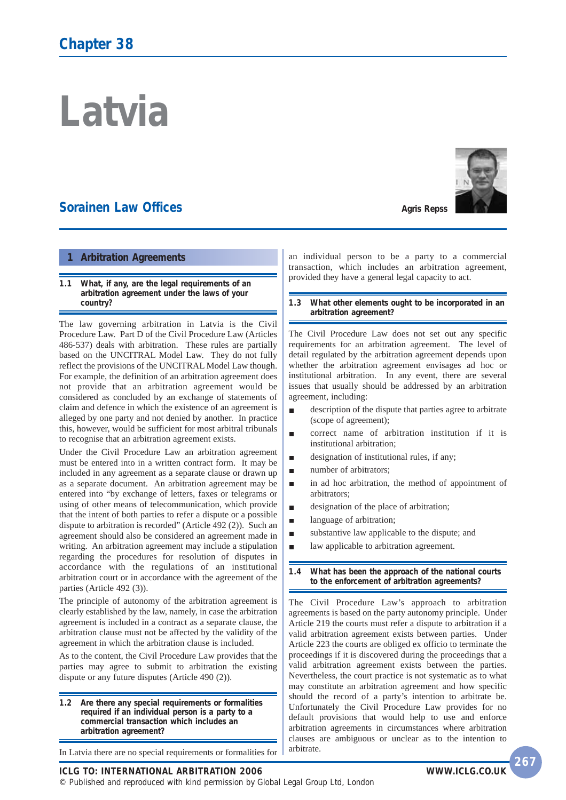# **Latvia**

## **Sorainen Law Offices**



#### **1 Arbitration Agreements**

#### **1.1 What, if any, are the legal requirements of an arbitration agreement under the laws of your country?**

The law governing arbitration in Latvia is the Civil Procedure Law. Part D of the Civil Procedure Law (Articles 486-537) deals with arbitration. These rules are partially based on the UNCITRAL Model Law. They do not fully reflect the provisions of the UNCITRAL Model Law though. For example, the definition of an arbitration agreement does not provide that an arbitration agreement would be considered as concluded by an exchange of statements of claim and defence in which the existence of an agreement is alleged by one party and not denied by another. In practice this, however, would be sufficient for most arbitral tribunals to recognise that an arbitration agreement exists.

Under the Civil Procedure Law an arbitration agreement must be entered into in a written contract form. It may be included in any agreement as a separate clause or drawn up as a separate document. An arbitration agreement may be entered into "by exchange of letters, faxes or telegrams or using of other means of telecommunication, which provide that the intent of both parties to refer a dispute or a possible dispute to arbitration is recorded" (Article 492 (2)). Such an agreement should also be considered an agreement made in writing. An arbitration agreement may include a stipulation regarding the procedures for resolution of disputes in accordance with the regulations of an institutional arbitration court or in accordance with the agreement of the parties (Article 492 (3)).

The principle of autonomy of the arbitration agreement is clearly established by the law, namely, in case the arbitration agreement is included in a contract as a separate clause, the arbitration clause must not be affected by the validity of the agreement in which the arbitration clause is included.

As to the content, the Civil Procedure Law provides that the parties may agree to submit to arbitration the existing dispute or any future disputes (Article 490 (2)).

**1.2 Are there any special requirements or formalities required if an individual person is a party to a commercial transaction which includes an arbitration agreement?**

In Latvia there are no special requirements or formalities for

an individual person to be a party to a commercial transaction, which includes an arbitration agreement, provided they have a general legal capacity to act.

**1.3 What other elements ought to be incorporated in an arbitration agreement?**

The Civil Procedure Law does not set out any specific requirements for an arbitration agreement. The level of detail regulated by the arbitration agreement depends upon whether the arbitration agreement envisages ad hoc or institutional arbitration. In any event, there are several issues that usually should be addressed by an arbitration agreement, including:

- É description of the dispute that parties agree to arbitrate (scope of agreement);
- correct name of arbitration institution if it is  $\blacksquare$ institutional arbitration;
- designation of institutional rules, if any; Г
- number of arbitrators;  $\blacksquare$
- in ad hoc arbitration, the method of appointment of п arbitrators;
- designation of the place of arbitration;  $\blacksquare$
- language of arbitration; п
- substantive law applicable to the dispute; and
- law applicable to arbitration agreement.

**1.4 What has been the approach of the national courts to the enforcement of arbitration agreements?**

The Civil Procedure Law's approach to arbitration agreements is based on the party autonomy principle. Under Article 219 the courts must refer a dispute to arbitration if a valid arbitration agreement exists between parties. Under Article 223 the courts are obliged ex officio to terminate the proceedings if it is discovered during the proceedings that a valid arbitration agreement exists between the parties. Nevertheless, the court practice is not systematic as to what may constitute an arbitration agreement and how specific should the record of a party's intention to arbitrate be. Unfortunately the Civil Procedure Law provides for no default provisions that would help to use and enforce arbitration agreements in circumstances where arbitration clauses are ambiguous or unclear as to the intention to arbitrate.

**ICLG TO: INTERNATIONAL ARBITRATION 2006 WWW.ICLG.CO.UK**

© Published and reproduced with kind permission by Global Legal Group Ltd, London

**267**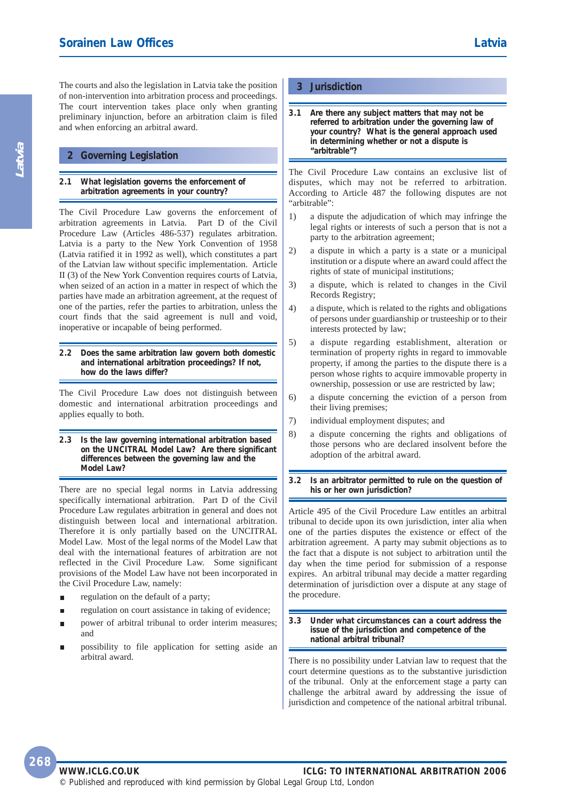The courts and also the legislation in Latvia take the position of non-intervention into arbitration process and proceedings. The court intervention takes place only when granting preliminary injunction, before an arbitration claim is filed and when enforcing an arbitral award.

#### **2 Governing Legislation**

#### **2.1 What legislation governs the enforcement of arbitration agreements in your country?**

The Civil Procedure Law governs the enforcement of arbitration agreements in Latvia. Part D of the Civil Procedure Law (Articles 486-537) regulates arbitration. Latvia is a party to the New York Convention of 1958 (Latvia ratified it in 1992 as well), which constitutes a part of the Latvian law without specific implementation. Article II (3) of the New York Convention requires courts of Latvia, when seized of an action in a matter in respect of which the parties have made an arbitration agreement, at the request of one of the parties, refer the parties to arbitration, unless the court finds that the said agreement is null and void, inoperative or incapable of being performed.

#### **2.2 Does the same arbitration law govern both domestic and international arbitration proceedings? If not, how do the laws differ?**

The Civil Procedure Law does not distinguish between domestic and international arbitration proceedings and applies equally to both.

**2.3 Is the law governing international arbitration based on the UNCITRAL Model Law? Are there significant differences between the governing law and the Model Law?**

There are no special legal norms in Latvia addressing specifically international arbitration. Part D of the Civil Procedure Law regulates arbitration in general and does not distinguish between local and international arbitration. Therefore it is only partially based on the UNCITRAL Model Law. Most of the legal norms of the Model Law that deal with the international features of arbitration are not reflected in the Civil Procedure Law. Some significant provisions of the Model Law have not been incorporated in the Civil Procedure Law, namely:

- regulation on the default of a party;
- regulation on court assistance in taking of evidence;
- power of arbitral tribunal to order interim measures; and
- possibility to file application for setting aside an arbitral award.

#### **3 Jurisdiction**

**3.1 Are there any subject matters that may not be referred to arbitration under the governing law of your country? What is the general approach used in determining whether or not a dispute is "arbitrable"?**

The Civil Procedure Law contains an exclusive list of disputes, which may not be referred to arbitration. According to Article 487 the following disputes are not "arbitrable":

- 1) a dispute the adjudication of which may infringe the legal rights or interests of such a person that is not a party to the arbitration agreement;
- 2) a dispute in which a party is a state or a municipal institution or a dispute where an award could affect the rights of state of municipal institutions;
- 3) a dispute, which is related to changes in the Civil Records Registry;
- 4) a dispute, which is related to the rights and obligations of persons under guardianship or trusteeship or to their interests protected by law;
- 5) a dispute regarding establishment, alteration or termination of property rights in regard to immovable property, if among the parties to the dispute there is a person whose rights to acquire immovable property in ownership, possession or use are restricted by law;
- 6) a dispute concerning the eviction of a person from their living premises;
- 7) individual employment disputes; and
- 8) a dispute concerning the rights and obligations of those persons who are declared insolvent before the adoption of the arbitral award.

**3.2 Is an arbitrator permitted to rule on the question of his or her own jurisdiction?**

Article 495 of the Civil Procedure Law entitles an arbitral tribunal to decide upon its own jurisdiction, inter alia when one of the parties disputes the existence or effect of the arbitration agreement. A party may submit objections as to the fact that a dispute is not subject to arbitration until the day when the time period for submission of a response expires. An arbitral tribunal may decide a matter regarding determination of jurisdiction over a dispute at any stage of the procedure.

#### **3.3 Under what circumstances can a court address the issue of the jurisdiction and competence of the national arbitral tribunal?**

There is no possibility under Latvian law to request that the court determine questions as to the substantive jurisdiction of the tribunal. Only at the enforcement stage a party can challenge the arbitral award by addressing the issue of jurisdiction and competence of the national arbitral tribunal.

#### **WWW.ICLG.CO.UK ICLG: TO INTERNATIONAL ARBITRATION 2006** © Published and reproduced with kind permission by Global Legal Group Ltd, London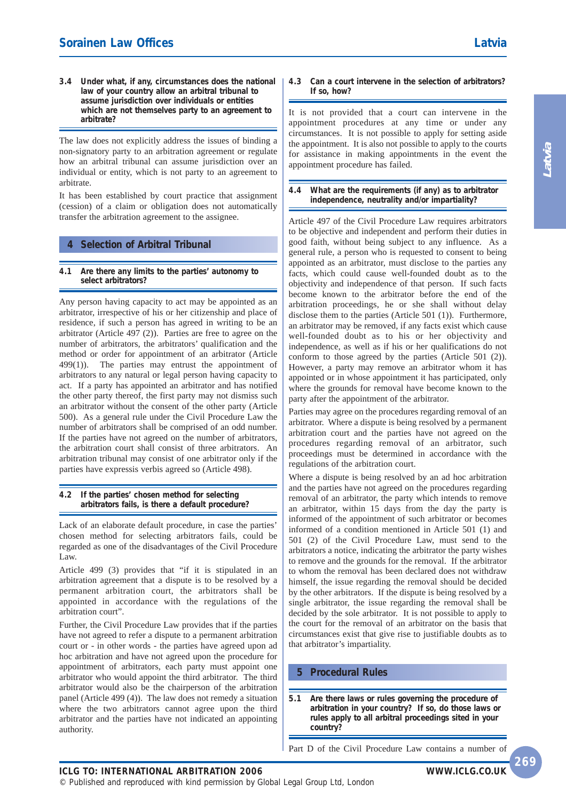**3.4 Under what, if any, circumstances does the national law of your country allow an arbitral tribunal to assume jurisdiction over individuals or entities which are not themselves party to an agreement to arbitrate?**

The law does not explicitly address the issues of binding a non-signatory party to an arbitration agreement or regulate how an arbitral tribunal can assume jurisdiction over an individual or entity, which is not party to an agreement to arbitrate.

It has been established by court practice that assignment (cession) of a claim or obligation does not automatically transfer the arbitration agreement to the assignee.

## **4 Selection of Arbitral Tribunal**

**4.1 Are there any limits to the parties' autonomy to select arbitrators?**

Any person having capacity to act may be appointed as an arbitrator, irrespective of his or her citizenship and place of residence, if such a person has agreed in writing to be an arbitrator (Article 497 (2)). Parties are free to agree on the number of arbitrators, the arbitrators' qualification and the method or order for appointment of an arbitrator (Article 499(1)). The parties may entrust the appointment of arbitrators to any natural or legal person having capacity to act. If a party has appointed an arbitrator and has notified the other party thereof, the first party may not dismiss such an arbitrator without the consent of the other party (Article 500). As a general rule under the Civil Procedure Law the number of arbitrators shall be comprised of an odd number. If the parties have not agreed on the number of arbitrators, the arbitration court shall consist of three arbitrators. An arbitration tribunal may consist of one arbitrator only if the parties have expressis verbis agreed so (Article 498).

#### **4.2 If the parties' chosen method for selecting arbitrators fails, is there a default procedure?**

Lack of an elaborate default procedure, in case the parties' chosen method for selecting arbitrators fails, could be regarded as one of the disadvantages of the Civil Procedure Law.

Article 499 (3) provides that "if it is stipulated in an arbitration agreement that a dispute is to be resolved by a permanent arbitration court, the arbitrators shall be appointed in accordance with the regulations of the arbitration court".

Further, the Civil Procedure Law provides that if the parties have not agreed to refer a dispute to a permanent arbitration court or - in other words - the parties have agreed upon ad hoc arbitration and have not agreed upon the procedure for appointment of arbitrators, each party must appoint one arbitrator who would appoint the third arbitrator. The third arbitrator would also be the chairperson of the arbitration panel (Article 499 (4)). The law does not remedy a situation where the two arbitrators cannot agree upon the third arbitrator and the parties have not indicated an appointing authority.

#### **4.3 Can a court intervene in the selection of arbitrators? If so, how?**

It is not provided that a court can intervene in the appointment procedures at any time or under any circumstances. It is not possible to apply for setting aside the appointment. It is also not possible to apply to the courts for assistance in making appointments in the event the appointment procedure has failed.

#### **4.4 What are the requirements (if any) as to arbitrator independence, neutrality and/or impartiality?**

Article 497 of the Civil Procedure Law requires arbitrators to be objective and independent and perform their duties in good faith, without being subject to any influence. As a general rule, a person who is requested to consent to being appointed as an arbitrator, must disclose to the parties any facts, which could cause well-founded doubt as to the objectivity and independence of that person. If such facts become known to the arbitrator before the end of the arbitration proceedings, he or she shall without delay disclose them to the parties (Article 501 (1)). Furthermore, an arbitrator may be removed, if any facts exist which cause well-founded doubt as to his or her objectivity and independence, as well as if his or her qualifications do not conform to those agreed by the parties (Article 501 (2)). However, a party may remove an arbitrator whom it has appointed or in whose appointment it has participated, only where the grounds for removal have become known to the party after the appointment of the arbitrator.

Parties may agree on the procedures regarding removal of an arbitrator. Where a dispute is being resolved by a permanent arbitration court and the parties have not agreed on the procedures regarding removal of an arbitrator, such proceedings must be determined in accordance with the regulations of the arbitration court.

Where a dispute is being resolved by an ad hoc arbitration and the parties have not agreed on the procedures regarding removal of an arbitrator, the party which intends to remove an arbitrator, within 15 days from the day the party is informed of the appointment of such arbitrator or becomes informed of a condition mentioned in Article 501 (1) and 501 (2) of the Civil Procedure Law, must send to the arbitrators a notice, indicating the arbitrator the party wishes to remove and the grounds for the removal. If the arbitrator to whom the removal has been declared does not withdraw himself, the issue regarding the removal should be decided by the other arbitrators. If the dispute is being resolved by a single arbitrator, the issue regarding the removal shall be decided by the sole arbitrator. It is not possible to apply to the court for the removal of an arbitrator on the basis that circumstances exist that give rise to justifiable doubts as to that arbitrator's impartiality.

## **5 Procedural Rules**

**5.1 Are there laws or rules governing the procedure of arbitration in your country? If so, do those laws or rules apply to all arbitral proceedings sited in your country?**

Part D of the Civil Procedure Law contains a number of

### **ICLG TO: INTERNATIONAL ARBITRATION 2006**

© Published and reproduced with kind permission by Global Legal Group Ltd, London

**269**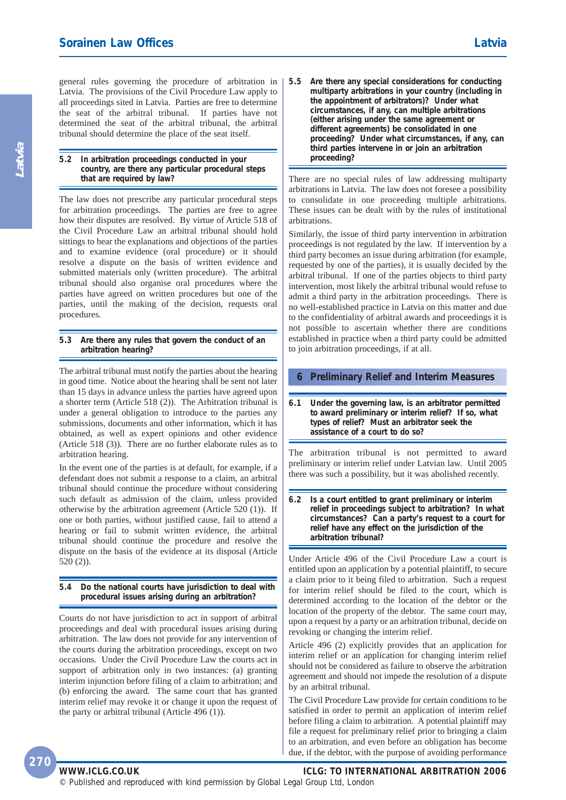general rules governing the procedure of arbitration in Latvia. The provisions of the Civil Procedure Law apply to all proceedings sited in Latvia. Parties are free to determine the seat of the arbitral tribunal. If parties have not determined the seat of the arbitral tribunal, the arbitral tribunal should determine the place of the seat itself.

#### **5.2 In arbitration proceedings conducted in your country, are there any particular procedural steps that are required by law?**

The law does not prescribe any particular procedural steps for arbitration proceedings. The parties are free to agree how their disputes are resolved. By virtue of Article 518 of the Civil Procedure Law an arbitral tribunal should hold sittings to hear the explanations and objections of the parties and to examine evidence (oral procedure) or it should resolve a dispute on the basis of written evidence and submitted materials only (written procedure). The arbitral tribunal should also organise oral procedures where the parties have agreed on written procedures but one of the parties, until the making of the decision, requests oral procedures.

#### **5.3 Are there any rules that govern the conduct of an arbitration hearing?**

The arbitral tribunal must notify the parties about the hearing in good time. Notice about the hearing shall be sent not later than 15 days in advance unless the parties have agreed upon a shorter term (Article 518 (2)). The Arbitration tribunal is under a general obligation to introduce to the parties any submissions, documents and other information, which it has obtained, as well as expert opinions and other evidence (Article 518 (3)). There are no further elaborate rules as to arbitration hearing.

In the event one of the parties is at default, for example, if a defendant does not submit a response to a claim, an arbitral tribunal should continue the procedure without considering such default as admission of the claim, unless provided otherwise by the arbitration agreement (Article 520 (1)). If one or both parties, without justified cause, fail to attend a hearing or fail to submit written evidence, the arbitral tribunal should continue the procedure and resolve the dispute on the basis of the evidence at its disposal (Article 520 (2)).

#### **5.4 Do the national courts have jurisdiction to deal with procedural issues arising during an arbitration?**

Courts do not have jurisdiction to act in support of arbitral proceedings and deal with procedural issues arising during arbitration. The law does not provide for any intervention of the courts during the arbitration proceedings, except on two occasions. Under the Civil Procedure Law the courts act in support of arbitration only in two instances: (a) granting interim injunction before filing of a claim to arbitration; and (b) enforcing the award. The same court that has granted interim relief may revoke it or change it upon the request of the party or arbitral tribunal (Article 496 (1)).

**5.5 Are there any special considerations for conducting multiparty arbitrations in your country (including in the appointment of arbitrators)? Under what circumstances, if any, can multiple arbitrations (either arising under the same agreement or different agreements) be consolidated in one proceeding? Under what circumstances, if any, can third parties intervene in or join an arbitration proceeding?** 

There are no special rules of law addressing multiparty arbitrations in Latvia. The law does not foresee a possibility to consolidate in one proceeding multiple arbitrations. These issues can be dealt with by the rules of institutional arbitrations.

Similarly, the issue of third party intervention in arbitration proceedings is not regulated by the law. If intervention by a third party becomes an issue during arbitration (for example, requested by one of the parties), it is usually decided by the arbitral tribunal. If one of the parties objects to third party intervention, most likely the arbitral tribunal would refuse to admit a third party in the arbitration proceedings. There is no well-established practice in Latvia on this matter and due to the confidentiality of arbitral awards and proceedings it is not possible to ascertain whether there are conditions established in practice when a third party could be admitted to join arbitration proceedings, if at all.

#### **6 Preliminary Relief and Interim Measures**

**6.1 Under the governing law, is an arbitrator permitted to award preliminary or interim relief? If so, what types of relief? Must an arbitrator seek the assistance of a court to do so?**

The arbitration tribunal is not permitted to award preliminary or interim relief under Latvian law. Until 2005 there was such a possibility, but it was abolished recently.

**6.2 Is a court entitled to grant preliminary or interim relief in proceedings subject to arbitration? In what circumstances? Can a party's request to a court for relief have any effect on the jurisdiction of the arbitration tribunal?**

Under Article 496 of the Civil Procedure Law a court is entitled upon an application by a potential plaintiff, to secure a claim prior to it being filed to arbitration. Such a request for interim relief should be filed to the court, which is determined according to the location of the debtor or the location of the property of the debtor. The same court may, upon a request by a party or an arbitration tribunal, decide on revoking or changing the interim relief.

Article 496 (2) explicitly provides that an application for interim relief or an application for changing interim relief should not be considered as failure to observe the arbitration agreement and should not impede the resolution of a dispute by an arbitral tribunal.

The Civil Procedure Law provide for certain conditions to be satisfied in order to permit an application of interim relief before filing a claim to arbitration. A potential plaintiff may file a request for preliminary relief prior to bringing a claim to an arbitration, and even before an obligation has become due, if the debtor, with the purpose of avoiding performance

**Latvia**

© Published and reproduced with kind permission by Global Legal Group Ltd, London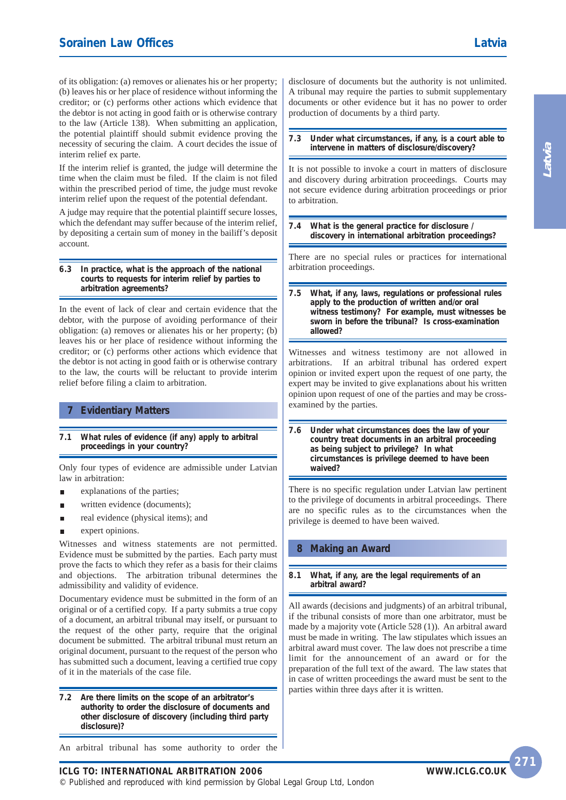of its obligation: (a) removes or alienates his or her property; (b) leaves his or her place of residence without informing the creditor; or (c) performs other actions which evidence that the debtor is not acting in good faith or is otherwise contrary to the law (Article 138). When submitting an application, the potential plaintiff should submit evidence proving the necessity of securing the claim. A court decides the issue of interim relief ex parte.

If the interim relief is granted, the judge will determine the time when the claim must be filed. If the claim is not filed within the prescribed period of time, the judge must revoke interim relief upon the request of the potential defendant.

A judge may require that the potential plaintiff secure losses, which the defendant may suffer because of the interim relief, by depositing a certain sum of money in the bailiff's deposit account.

#### **6.3 In practice, what is the approach of the national courts to requests for interim relief by parties to arbitration agreements?**

In the event of lack of clear and certain evidence that the debtor, with the purpose of avoiding performance of their obligation: (a) removes or alienates his or her property; (b) leaves his or her place of residence without informing the creditor; or (c) performs other actions which evidence that the debtor is not acting in good faith or is otherwise contrary to the law, the courts will be reluctant to provide interim relief before filing a claim to arbitration.

#### **7 Evidentiary Matters**

#### **7.1 What rules of evidence (if any) apply to arbitral proceedings in your country?**

Only four types of evidence are admissible under Latvian law in arbitration:

- explanations of the parties;
- written evidence (documents); п
- real evidence (physical items); and  $\blacksquare$
- expert opinions.

Witnesses and witness statements are not permitted. Evidence must be submitted by the parties. Each party must prove the facts to which they refer as a basis for their claims and objections. The arbitration tribunal determines the admissibility and validity of evidence.

Documentary evidence must be submitted in the form of an original or of a certified copy. If a party submits a true copy of a document, an arbitral tribunal may itself, or pursuant to the request of the other party, require that the original document be submitted. The arbitral tribunal must return an original document, pursuant to the request of the person who has submitted such a document, leaving a certified true copy of it in the materials of the case file.

**7.2 Are there limits on the scope of an arbitrator's authority to order the disclosure of documents and other disclosure of discovery (including third party disclosure)?**

An arbitral tribunal has some authority to order the

disclosure of documents but the authority is not unlimited. A tribunal may require the parties to submit supplementary documents or other evidence but it has no power to order production of documents by a third party.

#### **7.3 Under what circumstances, if any, is a court able to intervene in matters of disclosure/discovery?**

It is not possible to invoke a court in matters of disclosure and discovery during arbitration proceedings. Courts may not secure evidence during arbitration proceedings or prior to arbitration.

#### **7.4 What is the general practice for disclosure / discovery in international arbitration proceedings?**

There are no special rules or practices for international arbitration proceedings.

**7.5 What, if any, laws, regulations or professional rules apply to the production of written and/or oral witness testimony? For example, must witnesses be sworn in before the tribunal? Is cross-examination allowed?**

Witnesses and witness testimony are not allowed in arbitrations. If an arbitral tribunal has ordered expert opinion or invited expert upon the request of one party, the expert may be invited to give explanations about his written opinion upon request of one of the parties and may be crossexamined by the parties.

**7.6 Under what circumstances does the law of your country treat documents in an arbitral proceeding as being subject to privilege? In what circumstances is privilege deemed to have been waived?**

There is no specific regulation under Latvian law pertinent to the privilege of documents in arbitral proceedings. There are no specific rules as to the circumstances when the privilege is deemed to have been waived.

#### **8 Making an Award**

#### **8.1 What, if any, are the legal requirements of an arbitral award?**

All awards (decisions and judgments) of an arbitral tribunal, if the tribunal consists of more than one arbitrator, must be made by a majority vote (Article 528 (1)). An arbitral award must be made in writing. The law stipulates which issues an arbitral award must cover. The law does not prescribe a time limit for the announcement of an award or for the preparation of the full text of the award. The law states that in case of written proceedings the award must be sent to the parties within three days after it is written.

**271**

**ICLG TO: INTERNATIONAL ARBITRATION 2006** © Published and reproduced with kind permission by Global Legal Group Ltd, London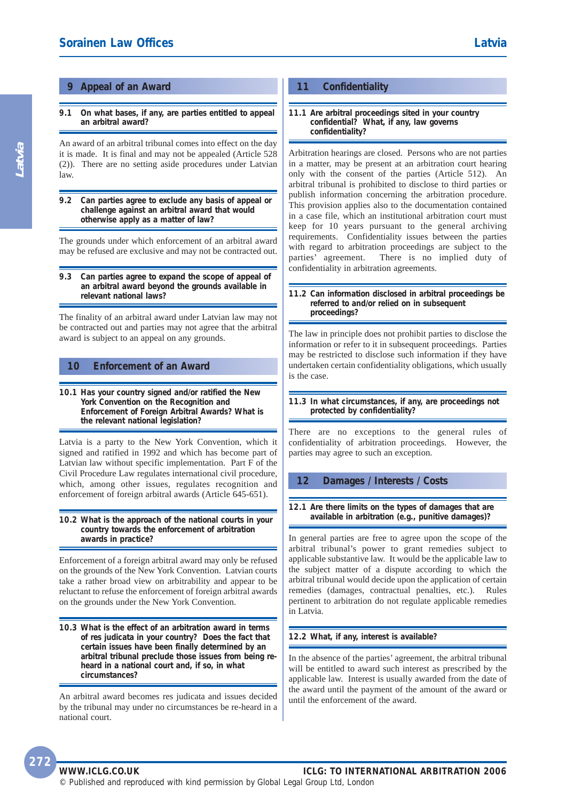#### **9 Appeal of an Award**

**9.1 On what bases, if any, are parties entitled to appeal an arbitral award?**

An award of an arbitral tribunal comes into effect on the day it is made. It is final and may not be appealed (Article 528 (2)). There are no setting aside procedures under Latvian law.

**9.2 Can parties agree to exclude any basis of appeal or challenge against an arbitral award that would otherwise apply as a matter of law?**

The grounds under which enforcement of an arbitral award may be refused are exclusive and may not be contracted out.

**9.3 Can parties agree to expand the scope of appeal of an arbitral award beyond the grounds available in relevant national laws?**

The finality of an arbitral award under Latvian law may not be contracted out and parties may not agree that the arbitral award is subject to an appeal on any grounds.

#### **10 Enforcement of an Award**

**10.1 Has your country signed and/or ratified the New York Convention on the Recognition and Enforcement of Foreign Arbitral Awards? What is the relevant national legislation?**

Latvia is a party to the New York Convention, which it signed and ratified in 1992 and which has become part of Latvian law without specific implementation. Part F of the Civil Procedure Law regulates international civil procedure, which, among other issues, regulates recognition and enforcement of foreign arbitral awards (Article 645-651).

#### **10.2 What is the approach of the national courts in your country towards the enforcement of arbitration awards in practice?**

Enforcement of a foreign arbitral award may only be refused on the grounds of the New York Convention. Latvian courts take a rather broad view on arbitrability and appear to be reluctant to refuse the enforcement of foreign arbitral awards on the grounds under the New York Convention.

**10.3 What is the effect of an arbitration award in terms of res judicata in your country? Does the fact that certain issues have been finally determined by an arbitral tribunal preclude those issues from being reheard in a national court and, if so, in what circumstances?**

An arbitral award becomes res judicata and issues decided by the tribunal may under no circumstances be re-heard in a national court.

#### **11 Confidentiality**

#### **11.1 Are arbitral proceedings sited in your country confidential? What, if any, law governs confidentiality?**

Arbitration hearings are closed. Persons who are not parties in a matter, may be present at an arbitration court hearing only with the consent of the parties (Article 512). An arbitral tribunal is prohibited to disclose to third parties or publish information concerning the arbitration procedure. This provision applies also to the documentation contained in a case file, which an institutional arbitration court must keep for 10 years pursuant to the general archiving requirements. Confidentiality issues between the parties with regard to arbitration proceedings are subject to the parties' agreement. There is no implied duty of confidentiality in arbitration agreements.

**11.2 Can information disclosed in arbitral proceedings be referred to and/or relied on in subsequent proceedings?**

The law in principle does not prohibit parties to disclose the information or refer to it in subsequent proceedings. Parties may be restricted to disclose such information if they have undertaken certain confidentiality obligations, which usually is the case.

#### **11.3 In what circumstances, if any, are proceedings not protected by confidentiality?**

There are no exceptions to the general rules of confidentiality of arbitration proceedings. However, the parties may agree to such an exception.

#### **12 Damages / Interests / Costs**

**12.1 Are there limits on the types of damages that are available in arbitration (e.g., punitive damages)?**

In general parties are free to agree upon the scope of the arbitral tribunal's power to grant remedies subject to applicable substantive law. It would be the applicable law to the subject matter of a dispute according to which the arbitral tribunal would decide upon the application of certain remedies (damages, contractual penalties, etc.). Rules pertinent to arbitration do not regulate applicable remedies in Latvia.

#### **12.2 What, if any, interest is available?**

In the absence of the parties' agreement, the arbitral tribunal will be entitled to award such interest as prescribed by the applicable law. Interest is usually awarded from the date of the award until the payment of the amount of the award or until the enforcement of the award.

**WWW.ICLG.CO.UK ICLG: TO INTERNATIONAL ARBITRATION 2006**

© Published and reproduced with kind permission by Global Legal Group Ltd, London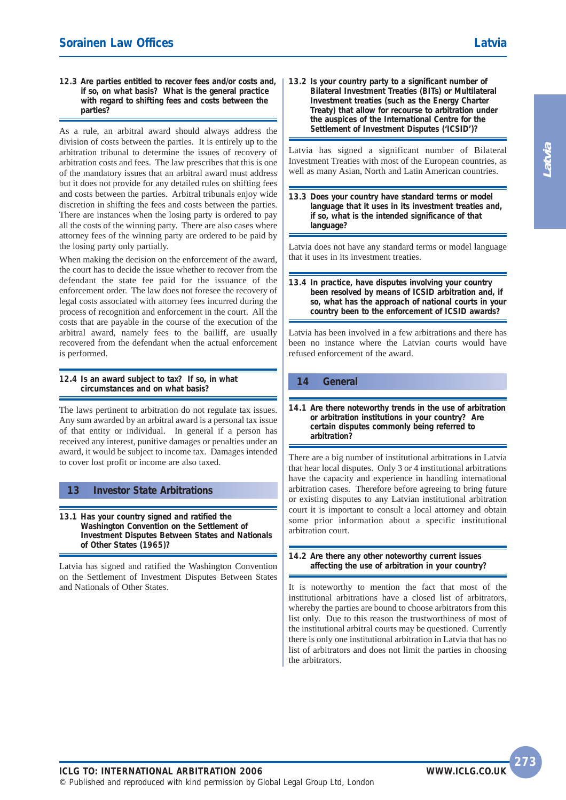**12.3 Are parties entitled to recover fees and/or costs and, if so, on what basis? What is the general practice with regard to shifting fees and costs between the parties?**

As a rule, an arbitral award should always address the division of costs between the parties. It is entirely up to the arbitration tribunal to determine the issues of recovery of arbitration costs and fees. The law prescribes that this is one of the mandatory issues that an arbitral award must address but it does not provide for any detailed rules on shifting fees and costs between the parties. Arbitral tribunals enjoy wide discretion in shifting the fees and costs between the parties. There are instances when the losing party is ordered to pay all the costs of the winning party. There are also cases where attorney fees of the winning party are ordered to be paid by the losing party only partially.

When making the decision on the enforcement of the award, the court has to decide the issue whether to recover from the defendant the state fee paid for the issuance of the enforcement order. The law does not foresee the recovery of legal costs associated with attorney fees incurred during the process of recognition and enforcement in the court. All the costs that are payable in the course of the execution of the arbitral award, namely fees to the bailiff, are usually recovered from the defendant when the actual enforcement is performed.

**12.4 Is an award subject to tax? If so, in what circumstances and on what basis?**

The laws pertinent to arbitration do not regulate tax issues. Any sum awarded by an arbitral award is a personal tax issue of that entity or individual. In general if a person has received any interest, punitive damages or penalties under an award, it would be subject to income tax. Damages intended to cover lost profit or income are also taxed.

#### **13 Investor State Arbitrations**

**13.1 Has your country signed and ratified the Washington Convention on the Settlement of Investment Disputes Between States and Nationals of Other States (1965)?**

Latvia has signed and ratified the Washington Convention on the Settlement of Investment Disputes Between States and Nationals of Other States.

**13.2 Is your country party to a significant number of Bilateral Investment Treaties (BITs) or Multilateral Investment treaties (such as the Energy Charter Treaty) that allow for recourse to arbitration under the auspices of the International Centre for the Settlement of Investment Disputes ('ICSID')?**

Latvia has signed a significant number of Bilateral Investment Treaties with most of the European countries, as well as many Asian, North and Latin American countries.

**13.3 Does your country have standard terms or model language that it uses in its investment treaties and, if so, what is the intended significance of that language?**

Latvia does not have any standard terms or model language that it uses in its investment treaties.

**13.4 In practice, have disputes involving your country been resolved by means of ICSID arbitration and, if so, what has the approach of national courts in your country been to the enforcement of ICSID awards?**

Latvia has been involved in a few arbitrations and there has been no instance where the Latvian courts would have refused enforcement of the award.

#### **14 General**

**14.1 Are there noteworthy trends in the use of arbitration or arbitration institutions in your country? Are certain disputes commonly being referred to arbitration?**

There are a big number of institutional arbitrations in Latvia that hear local disputes. Only 3 or 4 institutional arbitrations have the capacity and experience in handling international arbitration cases. Therefore before agreeing to bring future or existing disputes to any Latvian institutional arbitration court it is important to consult a local attorney and obtain some prior information about a specific institutional arbitration court.

**14.2 Are there any other noteworthy current issues affecting the use of arbitration in your country?**

It is noteworthy to mention the fact that most of the institutional arbitrations have a closed list of arbitrators, whereby the parties are bound to choose arbitrators from this list only. Due to this reason the trustworthiness of most of the institutional arbitral courts may be questioned. Currently there is only one institutional arbitration in Latvia that has no list of arbitrators and does not limit the parties in choosing the arbitrators.

**Latvia**

**273**